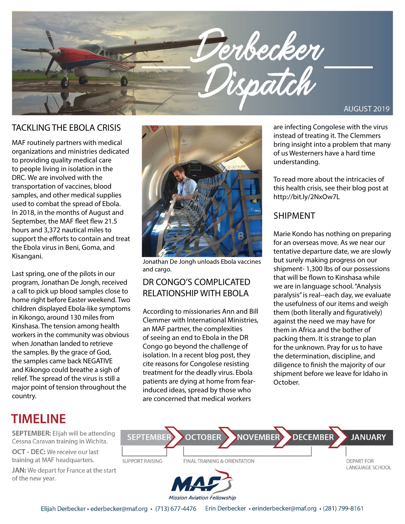

MAF routinely partners with medical organizations and ministries dedicated to providing quality medical care to people living in isolation in the DRC. We are involved with the transportation of vaccines, blood samples, and other medical supplies used to combat the spread of Ebola. In 2018, in the months of August and September, the MAF fleet flew 21.5 hours and 3,372 nautical miles to support the efforts to contain and treat the Ebola virus in Beni, Goma, and Kisangani.

Last spring, one of the pilots in our program, Jonathan De Jongh, received a call to pick up blood samples close to home right before Easter weekend. Two children displayed Ebola-like symptoms in Kikongo, around 130 miles from Kinshasa. The tension among health workers in the community was obvious when Jonathan landed to retrieve the samples. By the grace of God, the samples came back NEGATIVE and Kikongo could breathe a sigh of relief. The spread of the virus is still a major point of tension throughout the country.



Jonathan De Jongh unloads Ebola vaccines and cargo.

### DR CONGO'S COMPLICATED RELATIONSHIP WITH EBOLA

According to missionaries Ann and Bill Clemmer with International Ministries, an MAF partner, the complexities of seeing an end to Ebola in the DR Congo go beyond the challenge of isolation. In a recent blog post, they cite reasons for Congolese resisting treatment for the deadly virus. Ebola patients are dying at home from fearinduced ideas, spread by those who are concerned that medical workers

instead of treating it. The Clemmers bring insight into a problem that many of us Westerners have a hard time understanding.

To read more about the intricacies of this health crisis, see their blog post at http://bit.ly/2NxOw7L

### SHIPMENT

Marie Kondo has nothing on preparing for an overseas move. As we near our tentative departure date, we are slowly but surely making progress on our shipment- 1,300 lbs of our possessions that will be flown to Kinshasa while we are in language school. "Analysis paralysis" is real--each day, we evaluate the usefulness of our items and weigh them (both literally and figuratively) against the need we may have for them in Africa and the bother of packing them. It is strange to plan for the unknown. Pray for us to have the determination, discipline, and diligence to finish the majority of our shipment before we leave for Idaho in October.

## **TIMELINE**

**SEPTEMBER:** Elijah will be attending Cessna Caravan training in Wichita.

**OCT - DEC:** We receive our last training at MAF headquarters.

JAN: We depart for France at the start of the new year.